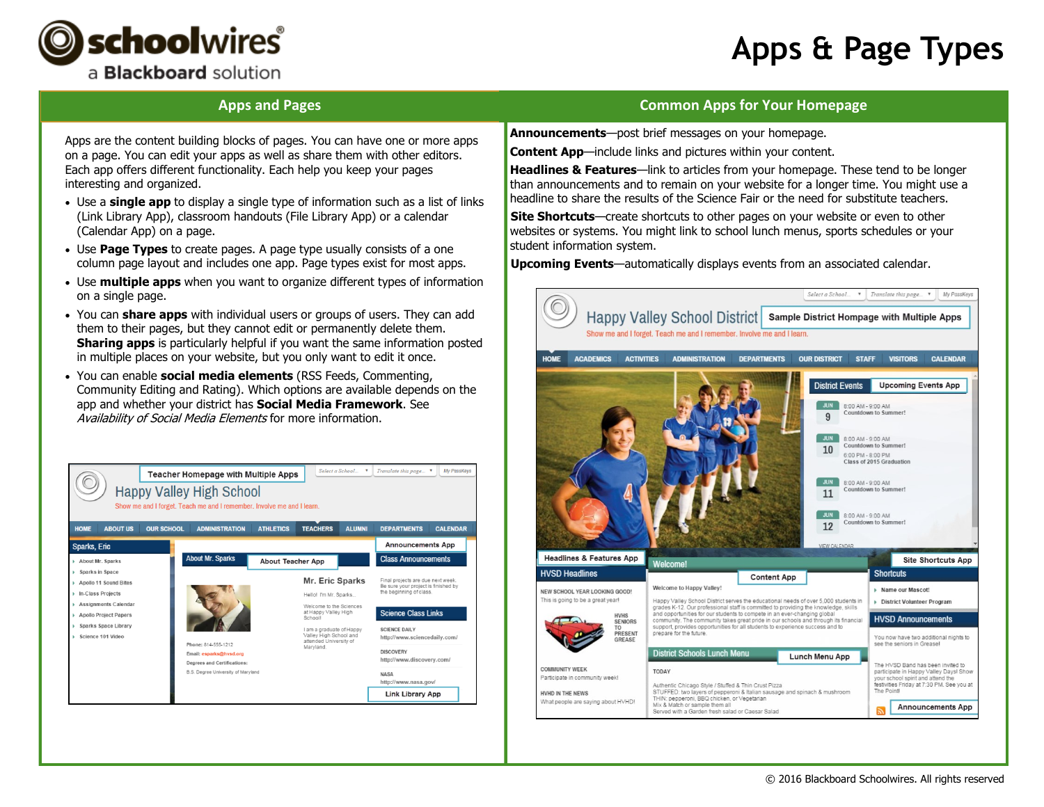



## **Apps and Pages**

### **Common Apps for Your Homepage**

Apps are the content building blocks of pages. You can have one or more apps on a page. You can edit your apps as well as share them with other editors. Each app offers different functionality. Each help you keep your pages interesting and organized.

- Use a **single app** to display a single type of information such as a list of links (Link Library App), classroom handouts (File Library App) or a calendar (Calendar App) on a page.
- Use **Page Types** to create pages. A page type usually consists of a one column page layout and includes one app. Page types exist for most apps.
- Use **multiple apps** when you want to organize different types of information on a single page.
- You can **share apps** with individual users or groups of users. They can add them to their pages, but they cannot edit or permanently delete them. **Sharing apps** is particularly helpful if you want the same information posted in multiple places on your website, but you only want to edit it once.
- You can enable **social media elements** (RSS Feeds, Commenting, Community Editing and Rating). Which options are available depends on the app and whether your district has **Social Media Framework**. See Availability of Social Media Elements for more information.



**Announcements**—post brief messages on your homepage.

**Content App**—include links and pictures within your content.

**Headlines & Features**—link to articles from your homepage. These tend to be longer than announcements and to remain on your website for a longer time. You might use a headline to share the results of the Science Fair or the need for substitute teachers.

**Site Shortcuts**—create shortcuts to other pages on your website or even to other websites or systems. You might link to school lunch menus, sports schedules or your student information system.

**Upcoming Events**—automatically displays events from an associated calendar.